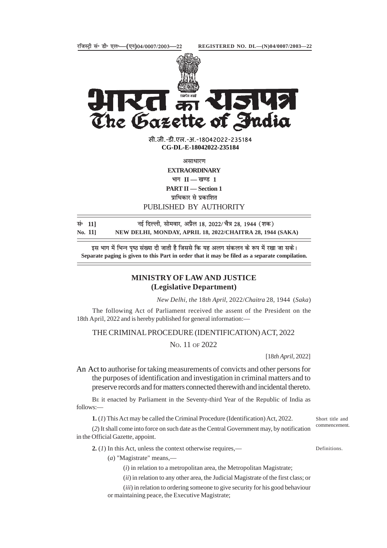



 $\overline{d}$ The Gazette of India

> सी.जी.-डी.एल.-अ.-18042022-23518<mark>4</mark> **xxxGIDExxx CG-DL-E-18042022-235184**

> > **असाधारण**

**EXTRAORDINARY**  $\mathbf{H} = \mathbf{H} - \mathbf{H}$  । **PART II — Section 1** पाधिकार से प्रकाशित

PUBLISHED BY AUTHORITY

| सं <sup>0</sup> 11] | नई दिल्ली, सोमवार, अप्रैल 18, 2022/ चैत्र 28, 1944 (शक)   |
|---------------------|-----------------------------------------------------------|
| No. 111             | NEW DELHI, MONDAY, APRIL 18, 2022/CHAITRA 28, 1944 (SAKA) |

इस भाग में भिन्न पृष्ठ संख्या दी जाती है जिससे कि यह अलग संकलन के रूप में रखा जा सके। **Separate paging is given to this Part in order that it may be filed as a separate compilation.**

## **MINISTRY OF LAW AND JUSTICE (Legislative Department)**

*New Delhi, the* 18*th April,* 2022/*Chaitra* 28*,* 1944 (*Saka*)

The following Act of Parliament received the assent of the President on the 18th April, 2022 and is hereby published for general information:—

## THE CRIMINAL PROCEDURE (IDENTIFICATION) ACT, 2022

NO. 11 OF 2022

[18*th April*, 2022]

An Act to authorise for taking measurements of convicts and other persons for the purposes of identification and investigation in criminal matters and to preserve records and for matters connected therewith and incidental thereto.

BE it enacted by Parliament in the Seventy-third Year of the Republic of India as follows:—

**1.** (*1*) This Act may be called the Criminal Procedure (Identification) Act, 2022.

(*2*) It shall come into force on such date as the Central Government may, by notification in the Official Gazette, appoint.

**2.** (*1*) In this Act, unless the context otherwise requires,—

Definitions.

Short title and commencement.

(*a*) "Magistrate" means,—

- (*i*) in relation to a metropolitan area, the Metropolitan Magistrate;
- (*ii*) in relation to any other area, the Judicial Magistrate of the first class; or
- (*iii*) in relation to ordering someone to give security for his good behaviour or maintaining peace, the Executive Magistrate;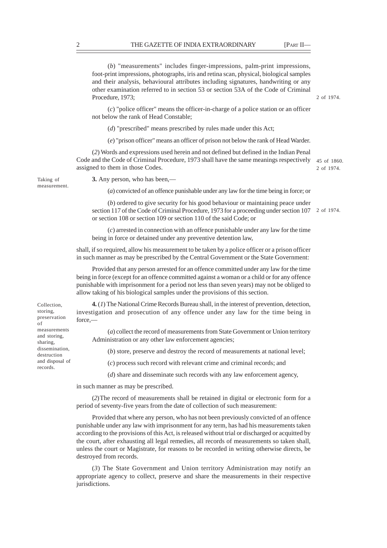|                                                                                                                                                           | $(b)$ "measurements" includes finger-impressions, palm-print impressions,<br>foot-print impressions, photographs, iris and retina scan, physical, biological samples<br>and their analysis, behavioural attributes including signatures, handwriting or any<br>other examination referred to in section 53 or section 53A of the Code of Criminal<br>Procedure, 1973; | 2 of 1974.                |
|-----------------------------------------------------------------------------------------------------------------------------------------------------------|-----------------------------------------------------------------------------------------------------------------------------------------------------------------------------------------------------------------------------------------------------------------------------------------------------------------------------------------------------------------------|---------------------------|
|                                                                                                                                                           | $(c)$ "police officer" means the officer-in-charge of a police station or an officer<br>not below the rank of Head Constable;                                                                                                                                                                                                                                         |                           |
|                                                                                                                                                           | $(d)$ "prescribed" means prescribed by rules made under this Act;                                                                                                                                                                                                                                                                                                     |                           |
|                                                                                                                                                           | (e) "prison officer" means an officer of prison not below the rank of Head Warder.                                                                                                                                                                                                                                                                                    |                           |
|                                                                                                                                                           | (2) Words and expressions used herein and not defined but defined in the Indian Penal<br>Code and the Code of Criminal Procedure, 1973 shall have the same meanings respectively<br>assigned to them in those Codes.                                                                                                                                                  | 45 of 1860.<br>2 of 1974. |
| Taking of<br>measurement.                                                                                                                                 | 3. Any person, who has been,—                                                                                                                                                                                                                                                                                                                                         |                           |
|                                                                                                                                                           | (a) convicted of an offence punishable under any law for the time being in force; or                                                                                                                                                                                                                                                                                  |                           |
|                                                                                                                                                           | $(b)$ ordered to give security for his good behaviour or maintaining peace under<br>section 117 of the Code of Criminal Procedure, 1973 for a proceeding under section 107<br>or section 108 or section 109 or section 110 of the said Code; or                                                                                                                       | 2 of 1974.                |
|                                                                                                                                                           | $(c)$ arrested in connection with an offence punishable under any law for the time<br>being in force or detained under any preventive detention law,                                                                                                                                                                                                                  |                           |
|                                                                                                                                                           | shall, if so required, allow his measurement to be taken by a police officer or a prison officer<br>in such manner as may be prescribed by the Central Government or the State Government:                                                                                                                                                                            |                           |
|                                                                                                                                                           | Provided that any person arrested for an offence committed under any law for the time<br>being in force (except for an offence committed against a woman or a child or for any offence<br>punishable with imprisonment for a period not less than seven years) may not be obliged to<br>allow taking of his biological samples under the provisions of this section.  |                           |
| Collection,<br>storing,<br>preservation<br>оf<br>measurements<br>and storing,<br>sharing,<br>dissemination,<br>destruction<br>and disposal of<br>records. | 4. (1) The National Crime Records Bureau shall, in the interest of prevention, detection,<br>investigation and prosecution of any offence under any law for the time being in<br>force,-                                                                                                                                                                              |                           |
|                                                                                                                                                           | (a) collect the record of measurements from State Government or Union territory<br>Administration or any other law enforcement agencies;                                                                                                                                                                                                                              |                           |
|                                                                                                                                                           | $(b)$ store, preserve and destroy the record of measurements at national level;                                                                                                                                                                                                                                                                                       |                           |
|                                                                                                                                                           | $(c)$ process such record with relevant crime and criminal records; and                                                                                                                                                                                                                                                                                               |                           |
|                                                                                                                                                           | $(d)$ share and disseminate such records with any law enforcement agency,                                                                                                                                                                                                                                                                                             |                           |
|                                                                                                                                                           | in such manner as may be prescribed.                                                                                                                                                                                                                                                                                                                                  |                           |

(*2*)The record of measurements shall be retained in digital or electronic form for a period of seventy-five years from the date of collection of such measurement:

Provided that where any person, who has not been previously convicted of an offence punishable under any law with imprisonment for any term, has had his measurements taken according to the provisions of this Act, is released without trial or discharged or acquitted by the court, after exhausting all legal remedies, all records of measurements so taken shall, unless the court or Magistrate, for reasons to be recorded in writing otherwise directs, be destroyed from records.

(*3*) The State Government and Union territory Administration may notify an appropriate agency to collect, preserve and share the measurements in their respective jurisdictions.

of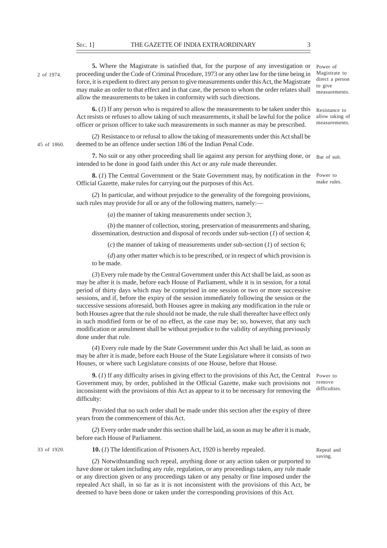2 of 1974.

45 of 1860.

**5.** Where the Magistrate is satisfied that, for the purpose of any investigation or proceeding under the Code of Criminal Procedure, 1973 or any other law for the time being in force, it is expedient to direct any person to give measurements under this Act, the Magistrate may make an order to that effect and in that case, the person to whom the order relates shall allow the measurements to be taken in conformity with such directions.

**6.** (*1*) If any person who is required to allow the measurements to be taken under this Act resists or refuses to allow taking of such measurements, it shall be lawful for the police officer or prison officer to take such measurements in such manner as may be prescribed.

(*2*) Resistance to or refusal to allow the taking of measurements under this Act shall be deemed to be an offence under section 186 of the Indian Penal Code.

7. No suit or any other proceeding shall lie against any person for anything done, or Bar of suit. intended to be done in good faith under this Act or any rule made thereunder.

**8.** (*1*) The Central Government or the State Government may, by notification in the Official Gazette, make rules for carrying out the purposes of this Act.

(*2*) In particular, and without prejudice to the generality of the foregoing provisions, such rules may provide for all or any of the following matters, namely:—

(*a*) the manner of taking measurements under section 3;

(*b*) the manner of collection, storing, preservation of measurements and sharing, dissemination, destruction and disposal of records under sub-section (*1*) of section 4;

(*c*) the manner of taking of measurements under sub-section (*1*) of section 6;

(*d*) any other matter which is to be prescribed, or in respect of which provision is to be made.

(*3*) Every rule made by the Central Government under this Act shall be laid, as soon as may be after it is made, before each House of Parliament, while it is in session, for a total period of thirty days which may be comprised in one session or two or more successive sessions, and if, before the expiry of the session immediately following the session or the successive sessions aforesaid, both Houses agree in making any modification in the rule or both Houses agree that the rule should not be made, the rule shall thereafter have effect only in such modified form or be of no effect, as the case may be; so, however, that any such modification or annulment shall be without prejudice to the validity of anything previously done under that rule.

(*4*) Every rule made by the State Government under this Act shall be laid, as soon as may be after it is made, before each House of the State Legislature where it consists of two Houses, or where such Legislature consists of one House, before that House.

**9.** (*1*) If any difficulty arises in giving effect to the provisions of this Act, the Central Power to Government may, by order, published in the Official Gazette, make such provisions not inconsistent with the provisions of this Act as appear to it to be necessary for removing the difficulty: remove difficulties.

Provided that no such order shall be made under this section after the expiry of three years from the commencement of this Act.

(*2*) Every order made under this section shall be laid, as soon as may be after it is made, before each House of Parliament.

33 of 1920.

**10.** (*1*) The Identification of Prisoners Act, 1920 is hereby repealed.

Repeal and saving.

(*2*) Notwithstanding such repeal, anything done or any action taken or purported to have done or taken including any rule, regulation, or any proceedings taken, any rule made or any direction given or any proceedings taken or any penalty or fine imposed under the repealed Act shall, in so far as it is not inconsistent with the provisions of this Act, be deemed to have been done or taken under the corresponding provisions of this Act.

Magistrate to direct a person to give measurements.

Power of

Resistance to allow taking of measurements.

Power to make rules.